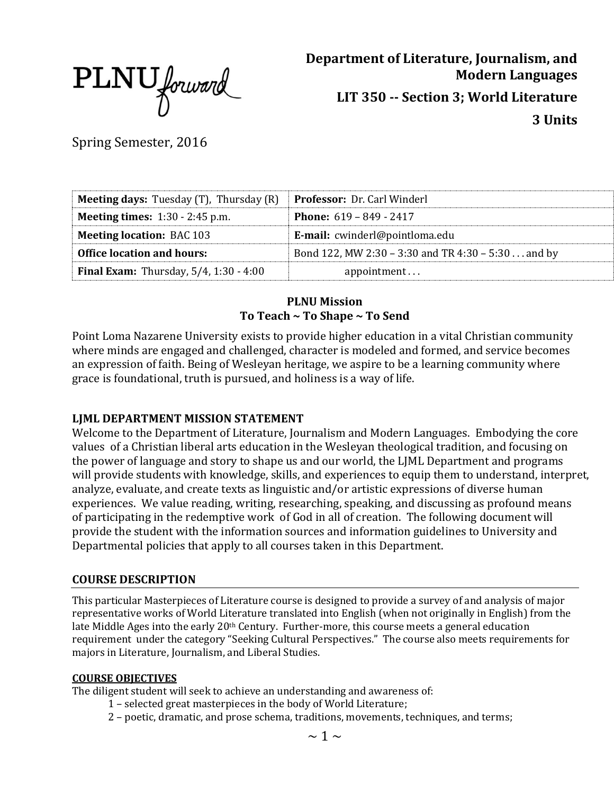PLNU forward

**Department of Literature, Journalism, and Modern Languages LIT 350 -- Section 3; World Literature 3 Units**

Spring Semester, 2016

| <b>Meeting days:</b> Tuesday $(T)$ , Thursday $(R)$ | <b>Professor:</b> Dr. Carl Winderl                 |
|-----------------------------------------------------|----------------------------------------------------|
| <b>Meeting times:</b> 1:30 - 2:45 p.m.              | <b>Phone:</b> $619 - 849 - 2417$                   |
| <b>Meeting location: BAC 103</b>                    | E-mail: cwinderl@pointloma.edu                     |
| <b>Office location and hours:</b>                   | Bond 122, MW 2:30 – 3:30 and TR 4:30 – 5:30 and by |
| <b>Final Exam:</b> Thursday, $5/4$ , $1:30 - 4:00$  | appointment                                        |

### **PLNU Mission To Teach ~ To Shape ~ To Send**

Point Loma Nazarene University exists to provide higher education in a vital Christian community where minds are engaged and challenged, character is modeled and formed, and service becomes an expression of faith. Being of Wesleyan heritage, we aspire to be a learning community where grace is foundational, truth is pursued, and holiness is a way of life.

### **LJML DEPARTMENT MISSION STATEMENT**

Welcome to the Department of Literature, Journalism and Modern Languages. Embodying the core values of a Christian liberal arts education in the Wesleyan theological tradition, and focusing on the power of language and story to shape us and our world, the LJML Department and programs will provide students with knowledge, skills, and experiences to equip them to understand, interpret, analyze, evaluate, and create texts as linguistic and/or artistic expressions of diverse human experiences. We value reading, writing, researching, speaking, and discussing as profound means of participating in the redemptive work of God in all of creation. The following document will provide the student with the information sources and information guidelines to University and Departmental policies that apply to all courses taken in this Department.

### **COURSE DESCRIPTION**

This particular Masterpieces of Literature course is designed to provide a survey of and analysis of major representative works of World Literature translated into English (when not originally in English) from the late Middle Ages into the early 20<sup>th</sup> Century. Further-more, this course meets a general education requirement under the category "Seeking Cultural Perspectives." The course also meets requirements for majors in Literature, Journalism, and Liberal Studies.

#### **COURSE OBJECTIVES**

The diligent student will seek to achieve an understanding and awareness of:

- 1 selected great masterpieces in the body of World Literature;
- 2 poetic, dramatic, and prose schema, traditions, movements, techniques, and terms;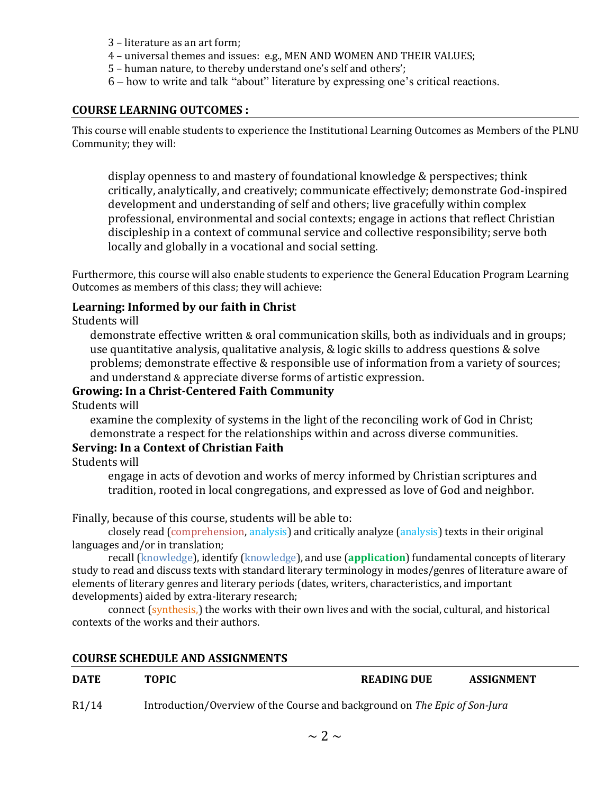- 3 literature as an art form;
- 4 universal themes and issues: e.g., MEN AND WOMEN AND THEIR VALUES;
- 5 human nature, to thereby understand one's self and others';
- 6 how to write and talk "about" literature by expressing one's critical reactions.

#### **COURSE LEARNING OUTCOMES :**

This course will enable students to experience the Institutional Learning Outcomes as Members of the PLNU Community; they will:

display openness to and mastery of foundational knowledge & perspectives; think critically, analytically, and creatively; communicate effectively; demonstrate God-inspired development and understanding of self and others; live gracefully within complex professional, environmental and social contexts; engage in actions that reflect Christian discipleship in a context of communal service and collective responsibility; serve both locally and globally in a vocational and social setting.

Furthermore, this course will also enable students to experience the General Education Program Learning Outcomes as members of this class; they will achieve:

#### **Learning: Informed by our faith in Christ**

Students will

demonstrate effective written & oral communication skills, both as individuals and in groups; use quantitative analysis, qualitative analysis, & logic skills to address questions & solve problems; demonstrate effective & responsible use of information from a variety of sources; and understand & appreciate diverse forms of artistic expression.

#### **Growing: In a Christ-Centered Faith Community**

Students will

examine the complexity of systems in the light of the reconciling work of God in Christ; demonstrate a respect for the relationships within and across diverse communities.

### **Serving: In a Context of Christian Faith**

Students will

engage in acts of devotion and works of mercy informed by Christian scriptures and tradition, rooted in local congregations, and expressed as love of God and neighbor.

Finally, because of this course, students will be able to:

closely read (comprehension, analysis) and critically analyze (analysis) texts in their original languages and/or in translation;

recall (knowledge), identify (knowledge), and use (**application**) fundamental concepts of literary study to read and discuss texts with standard literary terminology in modes/genres of literature aware of elements of literary genres and literary periods (dates, writers, characteristics, and important developments) aided by extra-literary research;

connect (synthesis,) the works with their own lives and with the social, cultural, and historical contexts of the works and their authors.

#### **COURSE SCHEDULE AND ASSIGNMENTS**

| <b>DATE</b> | <b>TOPIC</b>                                                               | <b>READING DUE</b> | ASSIGNMENT |  |
|-------------|----------------------------------------------------------------------------|--------------------|------------|--|
| R1/14       | Introduction/Overview of the Course and background on The Epic of Son-Jura |                    |            |  |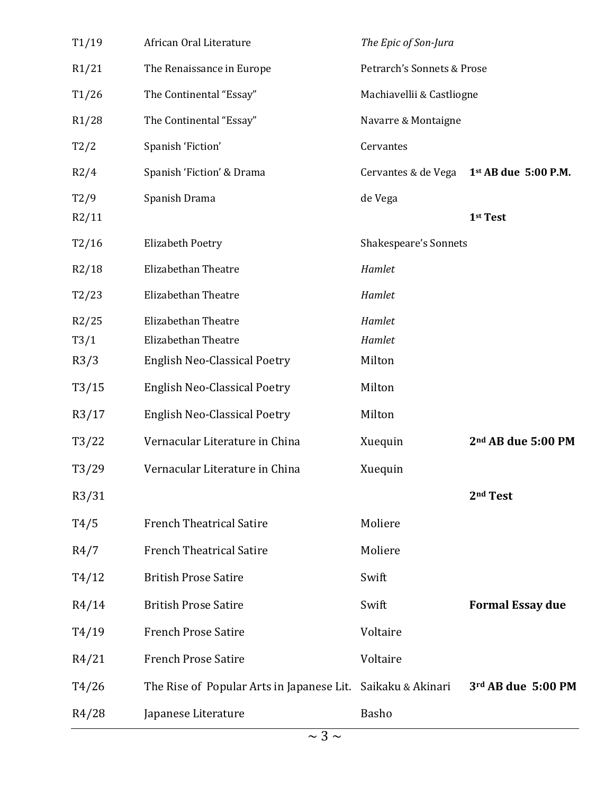| T1/19 | African Oral Literature                   | The Epic of Son-Jura         |                                |
|-------|-------------------------------------------|------------------------------|--------------------------------|
| R1/21 | The Renaissance in Europe                 | Petrarch's Sonnets & Prose   |                                |
| T1/26 | The Continental "Essay"                   | Machiavellii & Castliogne    |                                |
| R1/28 | The Continental "Essay"                   | Navarre & Montaigne          |                                |
| T2/2  | Spanish 'Fiction'                         | Cervantes                    |                                |
| R2/4  | Spanish 'Fiction' & Drama                 | Cervantes & de Vega          | 1st AB due 5:00 P.M.           |
| T2/9  | Spanish Drama                             | de Vega                      |                                |
| R2/11 |                                           |                              | 1st Test                       |
| T2/16 | <b>Elizabeth Poetry</b>                   | <b>Shakespeare's Sonnets</b> |                                |
| R2/18 | <b>Elizabethan Theatre</b>                | Hamlet                       |                                |
| T2/23 | Elizabethan Theatre                       | Hamlet                       |                                |
| R2/25 | Elizabethan Theatre                       | Hamlet                       |                                |
| T3/1  | Elizabethan Theatre                       | Hamlet                       |                                |
| R3/3  | <b>English Neo-Classical Poetry</b>       | Milton                       |                                |
| T3/15 | <b>English Neo-Classical Poetry</b>       | Milton                       |                                |
| R3/17 | <b>English Neo-Classical Poetry</b>       | Milton                       |                                |
| T3/22 | Vernacular Literature in China            | Xuequin                      | 2 <sup>nd</sup> AB due 5:00 PM |
| T3/29 | Vernacular Literature in China            | Xuequin                      |                                |
| R3/31 |                                           |                              | 2 <sup>nd</sup> Test           |
| T4/5  | <b>French Theatrical Satire</b>           | Moliere                      |                                |
| R4/7  | <b>French Theatrical Satire</b>           | Moliere                      |                                |
| T4/12 | <b>British Prose Satire</b>               | Swift                        |                                |
| R4/14 | <b>British Prose Satire</b>               | Swift                        | <b>Formal Essay due</b>        |
| T4/19 | <b>French Prose Satire</b>                | Voltaire                     |                                |
| R4/21 | <b>French Prose Satire</b>                | Voltaire                     |                                |
| T4/26 | The Rise of Popular Arts in Japanese Lit. | Saikaku & Akinari            | 3rd AB due 5:00 PM             |
| R4/28 | Japanese Literature                       | Basho                        |                                |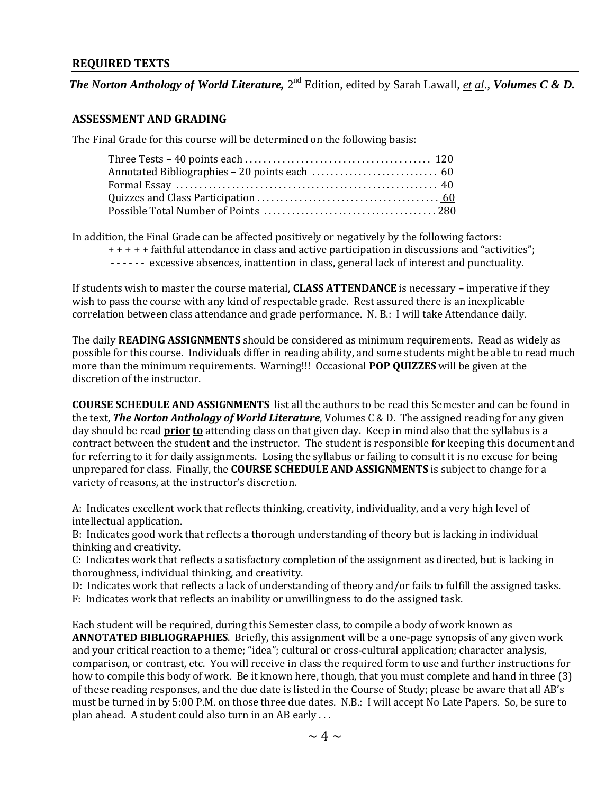#### **REQUIRED TEXTS**

*The Norton Anthology of World Literature,* 2<sup>nd</sup> Edition, edited by Sarah Lawall, *et al.*, *Volumes C & D.* 

#### **ASSESSMENT AND GRADING**

The Final Grade for this course will be determined on the following basis:

In addition, the Final Grade can be affected positively or negatively by the following factors:

- + + + + + faithful attendance in class and active participation in discussions and "activities";
- - - - excessive absences, inattention in class, general lack of interest and punctuality.

If students wish to master the course material, **CLASS ATTENDANCE** is necessary – imperative if they wish to pass the course with any kind of respectable grade. Rest assured there is an inexplicable correlation between class attendance and grade performance. N. B.: I will take Attendance daily.

The daily **READING ASSIGNMENTS** should be considered as minimum requirements. Read as widely as possible for this course. Individuals differ in reading ability, and some students might be able to read much more than the minimum requirements. Warning!!! Occasional **POP QUIZZES** will be given at the discretion of the instructor.

**COURSE SCHEDULE AND ASSIGNMENTS** list all the authors to be read this Semester and can be found in the text, *The Norton Anthology of World Literature*, Volumes C & D. The assigned reading for any given day should be read **prior to** attending class on that given day. Keep in mind also that the syllabus is a contract between the student and the instructor. The student is responsible for keeping this document and for referring to it for daily assignments. Losing the syllabus or failing to consult it is no excuse for being unprepared for class. Finally, the **COURSE SCHEDULE AND ASSIGNMENTS** is subject to change for a variety of reasons, at the instructor's discretion.

A: Indicates excellent work that reflects thinking, creativity, individuality, and a very high level of intellectual application.

B: Indicates good work that reflects a thorough understanding of theory but is lacking in individual thinking and creativity.

C: Indicates work that reflects a satisfactory completion of the assignment as directed, but is lacking in thoroughness, individual thinking, and creativity.

D: Indicates work that reflects a lack of understanding of theory and/or fails to fulfill the assigned tasks.

F: Indicates work that reflects an inability or unwillingness to do the assigned task.

Each student will be required, during this Semester class, to compile a body of work known as **ANNOTATED BIBLIOGRAPHIES**. Briefly, this assignment will be a one-page synopsis of any given work and your critical reaction to a theme; "idea"; cultural or cross-cultural application; character analysis, comparison, or contrast, etc. You will receive in class the required form to use and further instructions for how to compile this body of work. Be it known here, though, that you must complete and hand in three (3) of these reading responses, and the due date is listed in the Course of Study; please be aware that all AB's must be turned in by 5:00 P.M. on those three due dates. N.B.: I will accept No Late Papers. So, be sure to plan ahead. A student could also turn in an AB early . . .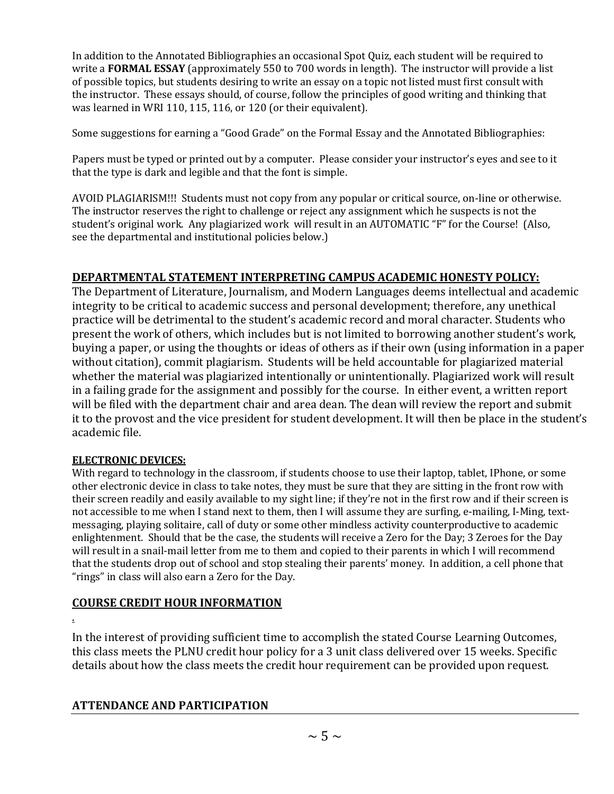In addition to the Annotated Bibliographies an occasional Spot Quiz, each student will be required to write a **FORMAL ESSAY** (approximately 550 to 700 words in length). The instructor will provide a list of possible topics, but students desiring to write an essay on a topic not listed must first consult with the instructor. These essays should, of course, follow the principles of good writing and thinking that was learned in WRI 110, 115, 116, or 120 (or their equivalent).

Some suggestions for earning a "Good Grade" on the Formal Essay and the Annotated Bibliographies:

Papers must be typed or printed out by a computer. Please consider your instructor's eyes and see to it that the type is dark and legible and that the font is simple.

AVOID PLAGIARISM!!! Students must not copy from any popular or critical source, on-line or otherwise. The instructor reserves the right to challenge or reject any assignment which he suspects is not the student's original work. Any plagiarized work will result in an AUTOMATIC "F" for the Course! (Also, see the departmental and institutional policies below.)

# **DEPARTMENTAL STATEMENT INTERPRETING CAMPUS ACADEMIC HONESTY POLICY:**

The Department of Literature, Journalism, and Modern Languages deems intellectual and academic integrity to be critical to academic success and personal development; therefore, any unethical practice will be detrimental to the student's academic record and moral character. Students who present the work of others, which includes but is not limited to borrowing another student's work, buying a paper, or using the thoughts or ideas of others as if their own (using information in a paper without citation), commit plagiarism. Students will be held accountable for plagiarized material whether the material was plagiarized intentionally or unintentionally. Plagiarized work will result in a failing grade for the assignment and possibly for the course. In either event, a written report will be filed with the department chair and area dean. The dean will review the report and submit it to the provost and the vice president for student development. It will then be place in the student's academic file.

### **ELECTRONIC DEVICES:**

With regard to technology in the classroom, if students choose to use their laptop, tablet, IPhone, or some other electronic device in class to take notes, they must be sure that they are sitting in the front row with their screen readily and easily available to my sight line; if they're not in the first row and if their screen is not accessible to me when I stand next to them, then I will assume they are surfing, e-mailing, I-Ming, textmessaging, playing solitaire, call of duty or some other mindless activity counterproductive to academic enlightenment. Should that be the case, the students will receive a Zero for the Day; 3 Zeroes for the Day will result in a snail-mail letter from me to them and copied to their parents in which I will recommend that the students drop out of school and stop stealing their parents' money. In addition, a cell phone that "rings" in class will also earn a Zero for the Day.

## **COURSE CREDIT HOUR INFORMATION**

.

In the interest of providing sufficient time to accomplish the stated Course Learning Outcomes, this class meets the PLNU credit hour policy for a 3 unit class delivered over 15 weeks. Specific details about how the class meets the credit hour requirement can be provided upon request.

## **ATTENDANCE AND PARTICIPATION**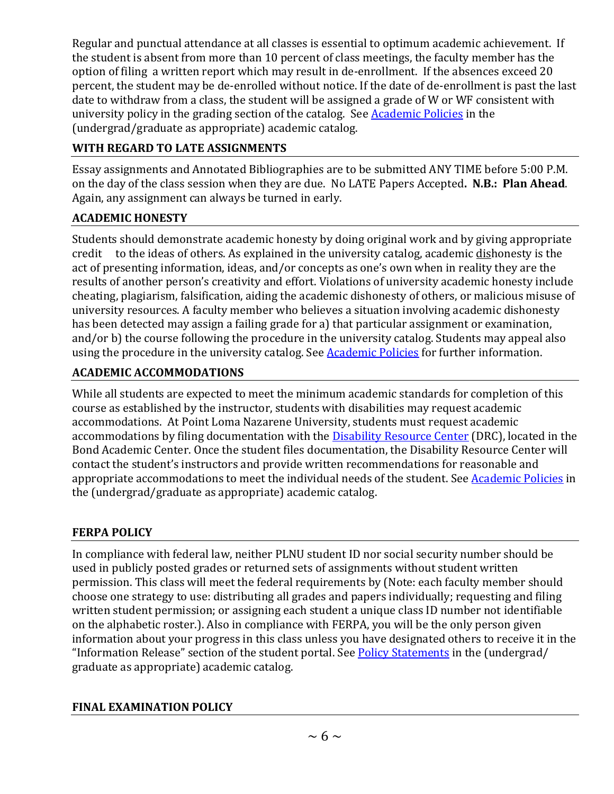Regular and punctual attendance at all classes is essential to optimum academic achievement. If the student is absent from more than 10 percent of class meetings, the faculty member has the option of filing a written report which may result in de-enrollment. If the absences exceed 20 percent, the student may be de-enrolled without notice. If the date of de-enrollment is past the last date to withdraw from a class, the student will be assigned a grade of W or WF consistent with university policy in the grading section of the catalog. See [Academic Policies](http://www.pointloma.edu/experience/academics/catalogs/undergraduate-catalog/point-loma-education/academic-policies) in the (undergrad/graduate as appropriate) academic catalog.

# **WITH REGARD TO LATE ASSIGNMENTS**

Essay assignments and Annotated Bibliographies are to be submitted ANY TIME before 5:00 P.M. on the day of the class session when they are due. No LATE Papers Accepted**. N.B.: Plan Ahead**. Again, any assignment can always be turned in early.

# **ACADEMIC HONESTY**

Students should demonstrate academic honesty by doing original work and by giving appropriate credit to the ideas of others. As explained in the university catalog, academic dishonesty is the act of presenting information, ideas, and/or concepts as one's own when in reality they are the results of another person's creativity and effort. Violations of university academic honesty include cheating, plagiarism, falsification, aiding the academic dishonesty of others, or malicious misuse of university resources. A faculty member who believes a situation involving academic dishonesty has been detected may assign a failing grade for a) that particular assignment or examination, and/or b) the course following the procedure in the university catalog. Students may appeal also using the procedure in the university catalog. See **Academic Policies** for further information.

# **ACADEMIC ACCOMMODATIONS**

While all students are expected to meet the minimum academic standards for completion of this course as established by the instructor, students with disabilities may request academic accommodations. At Point Loma Nazarene University, students must request academic accommodations by filing documentation with the [Disability Resource Center](http://www.pointloma.edu/experience/offices/administrative-offices/academic-advising-office/disability-resource-center) (DRC), located in the Bond Academic Center. Once the student files documentation, the Disability Resource Center will contact the student's instructors and provide written recommendations for reasonable and appropriate accommodations to meet the individual needs of the student. See [Academic Policies](http://www.pointloma.edu/experience/academics/catalogs/undergraduate-catalog/point-loma-education/academic-policies) in the (undergrad/graduate as appropriate) academic catalog.

# **FERPA POLICY**

In compliance with federal law, neither PLNU student ID nor social security number should be used in publicly posted grades or returned sets of assignments without student written permission. This class will meet the federal requirements by (Note: each faculty member should choose one strategy to use: distributing all grades and papers individually; requesting and filing written student permission; or assigning each student a unique class ID number not identifiable on the alphabetic roster.). Also in compliance with FERPA, you will be the only person given information about your progress in this class unless you have designated others to receive it in the "Information Release" section of the student portal. See [Policy Statements](http://www.pointloma.edu/experience/academics/catalogs/undergraduate-catalog/policy-statements) in the (undergrad/ graduate as appropriate) academic catalog.

# **FINAL EXAMINATION POLICY**